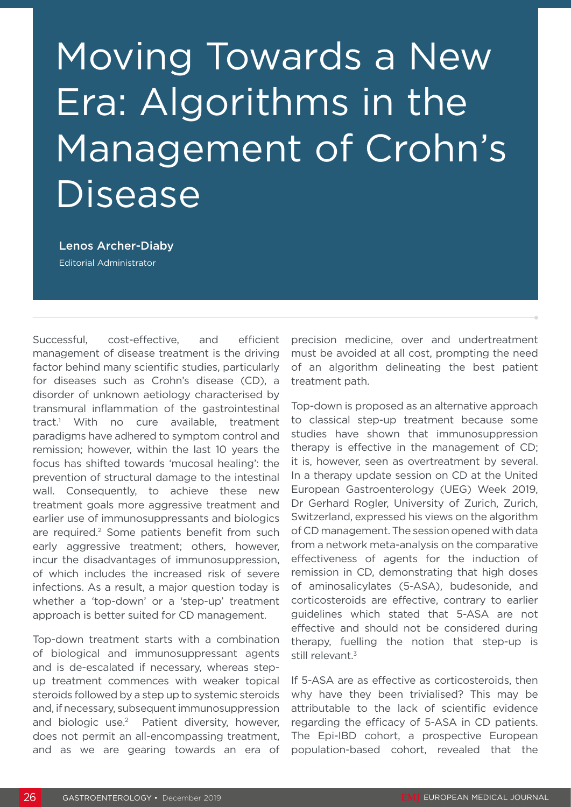## Moving Towards a New Era: Algorithms in the Management of Crohn's **Disease**

Lenos Archer-Diaby Editorial Administrator

Successful, cost-effective, and efficient management of disease treatment is the driving factor behind many scientific studies, particularly for diseases such as Crohn's disease (CD), a disorder of unknown aetiology characterised by transmural inflammation of the gastrointestinal tract.1 With no cure available, treatment paradigms have adhered to symptom control and remission; however, within the last 10 years the focus has shifted towards 'mucosal healing': the prevention of structural damage to the intestinal wall. Consequently, to achieve these new treatment goals more aggressive treatment and earlier use of immunosuppressants and biologics are required.<sup>2</sup> Some patients benefit from such early aggressive treatment; others, however, incur the disadvantages of immunosuppression, of which includes the increased risk of severe infections. As a result, a major question today is whether a 'top-down' or a 'step-up' treatment approach is better suited for CD management.

Top-down treatment starts with a combination of biological and immunosuppressant agents and is de-escalated if necessary, whereas stepup treatment commences with weaker topical steroids followed by a step up to systemic steroids and, if necessary, subsequent immunosuppression and biologic use.<sup>2</sup> Patient diversity, however, does not permit an all-encompassing treatment, and as we are gearing towards an era of

precision medicine, over and undertreatment must be avoided at all cost, prompting the need of an algorithm delineating the best patient treatment path.

Top-down is proposed as an alternative approach to classical step-up treatment because some studies have shown that immunosuppression therapy is effective in the management of CD; it is, however, seen as overtreatment by several. In a therapy update session on CD at the United European Gastroenterology (UEG) Week 2019, Dr Gerhard Rogler, University of Zurich, Zurich, Switzerland, expressed his views on the algorithm of CD management. The session opened with data from a network meta-analysis on the comparative effectiveness of agents for the induction of remission in CD, demonstrating that high doses of aminosalicylates (5-ASA), budesonide, and corticosteroids are effective, contrary to earlier guidelines which stated that 5-ASA are not effective and should not be considered during therapy, fuelling the notion that step-up is still relevant.<sup>3</sup>

If 5-ASA are as effective as corticosteroids, then why have they been trivialised? This may be attributable to the lack of scientific evidence regarding the efficacy of 5-ASA in CD patients. The Epi-IBD cohort, a prospective European population-based cohort, revealed that the